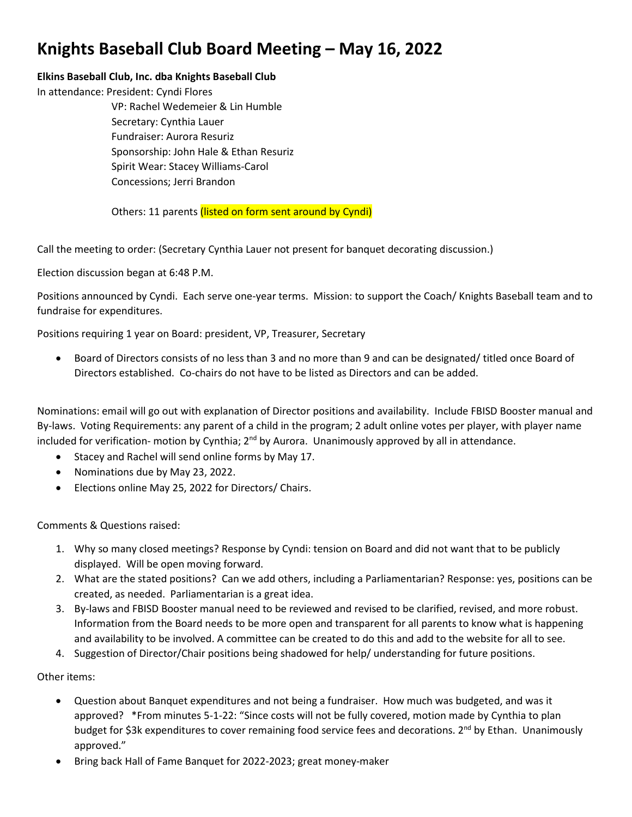## **Knights Baseball Club Board Meeting – May 16, 2022**

## **Elkins Baseball Club, Inc. dba Knights Baseball Club**

In attendance: President: Cyndi Flores

VP: Rachel Wedemeier & Lin Humble Secretary: Cynthia Lauer Fundraiser: Aurora Resuriz Sponsorship: John Hale & Ethan Resuriz Spirit Wear: Stacey Williams-Carol Concessions; Jerri Brandon

Others: 11 parents (listed on form sent around by Cyndi)

Call the meeting to order: (Secretary Cynthia Lauer not present for banquet decorating discussion.)

Election discussion began at 6:48 P.M.

Positions announced by Cyndi. Each serve one-year terms. Mission: to support the Coach/ Knights Baseball team and to fundraise for expenditures.

Positions requiring 1 year on Board: president, VP, Treasurer, Secretary

• Board of Directors consists of no less than 3 and no more than 9 and can be designated/ titled once Board of Directors established. Co-chairs do not have to be listed as Directors and can be added.

Nominations: email will go out with explanation of Director positions and availability. Include FBISD Booster manual and By-laws. Voting Requirements: any parent of a child in the program; 2 adult online votes per player, with player name included for verification- motion by Cynthia;  $2<sup>nd</sup>$  by Aurora. Unanimously approved by all in attendance.

- Stacey and Rachel will send online forms by May 17.
- Nominations due by May 23, 2022.
- Elections online May 25, 2022 for Directors/ Chairs.

Comments & Questions raised:

- 1. Why so many closed meetings? Response by Cyndi: tension on Board and did not want that to be publicly displayed. Will be open moving forward.
- 2. What are the stated positions? Can we add others, including a Parliamentarian? Response: yes, positions can be created, as needed. Parliamentarian is a great idea.
- 3. By-laws and FBISD Booster manual need to be reviewed and revised to be clarified, revised, and more robust. Information from the Board needs to be more open and transparent for all parents to know what is happening and availability to be involved. A committee can be created to do this and add to the website for all to see.
- 4. Suggestion of Director/Chair positions being shadowed for help/ understanding for future positions.

Other items:

- Question about Banquet expenditures and not being a fundraiser. How much was budgeted, and was it approved? \*From minutes 5-1-22: "Since costs will not be fully covered, motion made by Cynthia to plan budget for \$3k expenditures to cover remaining food service fees and decorations. 2<sup>nd</sup> by Ethan. Unanimously approved."
- Bring back Hall of Fame Banquet for 2022-2023; great money-maker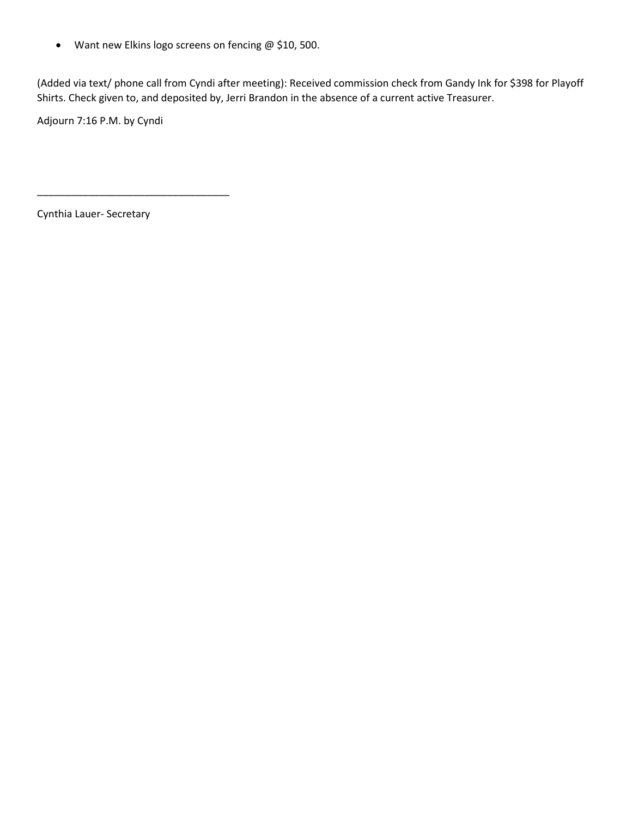• Want new Elkins logo screens on fencing @ \$10, 500.

(Added via text/ phone call from Cyndi after meeting): Received commission check from Gandy Ink for \$398 for Playoff Shirts. Check given to, and deposited by, Jerri Brandon in the absence of a current active Treasurer.

Adjourn 7:16 P.M. by Cyndi

Cynthia Lauer- Secretary

\_\_\_\_\_\_\_\_\_\_\_\_\_\_\_\_\_\_\_\_\_\_\_\_\_\_\_\_\_\_\_\_\_\_